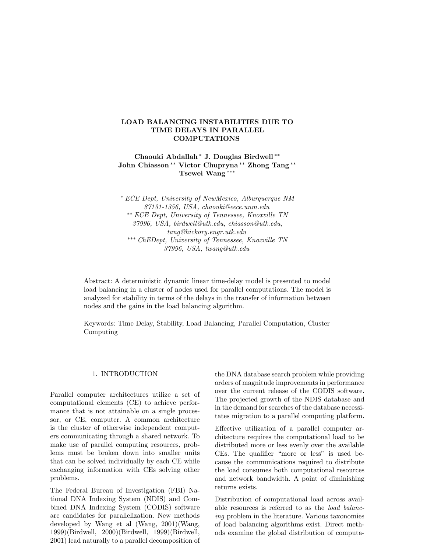# **LOAD BALANCING INSTABILITIES DUE TO** TIME DELAYS IN PARALLEL **COMPUTATIONS**

# Chaouki Abdallah<sup>\*</sup> J. Douglas Birdwell<sup>\*\*</sup> John Chiasson \*\* Victor Chupryna \*\* Zhong Tang \*\* Tsewei Wang\*\*\*

\* ECE Dept, University of NewMexico, Alburguerque NM 87131-1356, USA, chaouki@eece.unm.edu \*\* ECE Dept, University of Tennessee, Knoxville TN 37996. USA, birdwell@utk.edu, chiasson@utk.edu,  $tang@hickory. en gr. utk.edu$ \*\*\* ChEDept, University of Tennessee, Knoxville TN  $37996, USA, twang@utk.edu$ 

Abstract: A deterministic dynamic linear time-delay model is presented to model load balancing in a cluster of nodes used for parallel computations. The model is analyzed for stability in terms of the delays in the transfer of information between nodes and the gains in the load balancing algorithm.

Keywords: Time Delay, Stability, Load Balancing, Parallel Computation, Cluster Computing

### 1. INTRODUCTION

Parallel computer architectures utilize a set of computational elements (CE) to achieve performance that is not attainable on a single processor, or CE, computer. A common architecture is the cluster of otherwise independent computers communicating through a shared network. To make use of parallel computing resources, problems must be broken down into smaller units that can be solved individually by each CE while exchanging information with CEs solving other problems.

The Federal Bureau of Investigation (FBI) National DNA Indexing System (NDIS) and Combined DNA Indexing System (CODIS) software are candidates for parallelization. New methods developed by Wang et al (Wang,  $2001$ )(Wang,  $1999$ (Birdwell, 2000)(Birdwell, 1999)(Birdwell, 2001) lead naturally to a parallel decomposition of the DNA database search problem while providing orders of magnitude improvements in performance over the current release of the CODIS software. The projected growth of the NDIS database and in the demand for searches of the database necessitates migration to a parallel computing platform.

Effective utilization of a parallel computer architecture requires the computational load to be distributed more or less evenly over the available CEs. The qualifier "more or less" is used because the communications required to distribute the load consumes both computational resources and network bandwidth. A point of diminishing returns exists.

Distribution of computational load across available resources is referred to as the *load balancing* problem in the literature. Various taxonomies of load balancing algorithms exist. Direct methods examine the global distribution of computa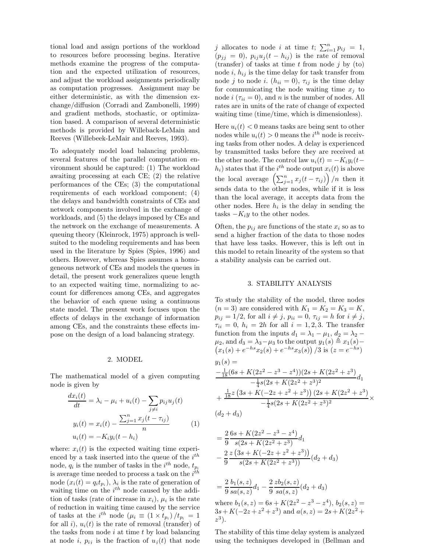tional load and assign portions of the workload to resources before processing begins. Iterative methods examine the progress of the computation and the expected utilization of resources. and adjust the workload assignments periodically as computation progresses. Assignment may be either deterministic, as with the dimension exchange/diffusion (Corradi and Zambonelli, 1999) and gradient methods, stochastic, or optimization based. A comparison of several deterministic methods is provided by Willeback-LeMain and Reeves (Willebeek-LeMair and Reeves, 1993).

To adequately model load balancing problems, several features of the parallel computation environment should be captured: (1) The workload awaiting processing at each  $CE$ ; (2) the relative performances of the CEs;  $(3)$  the computational requirements of each workload component; (4) the delays and bandwidth constraints of CEs and network components involved in the exchange of workloads, and (5) the delays imposed by CEs and the network on the exchange of measurements. A queuing theory (Kleinrock, 1975) approach is wellsuited to the modeling requirements and has been used in the literature by Spies (Spies, 1996) and others. However, whereas Spies assumes a homogeneous network of CEs and models the queues in detail, the present work generalizes queue length to an expected waiting time, normalizing to account for differences among CEs, and aggregates the behavior of each queue using a continuous state model. The present work focuses upon the effects of delays in the exchange of information among CEs, and the constraints these effects impose on the design of a load balancing strategy.

#### 2. MODEL

The mathematical model of a given computing node is given by

$$
\frac{dx_i(t)}{dt} = \lambda_i - \mu_i + u_i(t) - \sum_{j \neq i} p_{ij} u_j(t)
$$
  

$$
y_i(t) = x_i(t) - \frac{\sum_{j=1}^n x_j(t - \tau_{ij})}{n}
$$
 (1)  

$$
u_i(t) = -K_i y_i(t - h_i)
$$

where:  $x_i(t)$  is the expected waiting time experienced by a task inserted into the queue of the  $i^{th}$ node,  $q_i$  is the number of tasks in the  $i^{th}$  node,  $t_{p_i}$  is average time needed to process a task on the  $i^{th}$ node  $(x_i(t) = q_i t_{p_i}), \lambda_i$  is the rate of generation of waiting time on the  $i^{th}$  node caused by the addition of tasks (rate of increase in  $x_i$ ),  $\mu_i$  is the rate of reduction in waiting time caused by the service of tasks at the *i*<sup>th</sup> node  $(\mu_i \equiv (1 \times t_{p_i})/t_{p_i} = 1$ for all i),  $u_i(t)$  is the rate of removal (transfer) of the tasks from node  $i$  at time  $t$  by load balancing at node *i*,  $p_{ij}$  is the fraction of  $u_i(t)$  that node

j allocates to node *i* at time *t*;  $\sum_{i=1}^{n} p_{ij} = 1$ ,<br>  $(p_{jj} = 0)$ ,  $p_{ij}u_j(t - h_{ij})$  is the rate of removal (transfer) of tasks at time  $t$  from node  $j$  by (to) node i,  $h_{ij}$  is the time delay for task transfer from node j to node i.  $(h_{ii} = 0)$ ,  $\tau_{ij}$  is the time delay for communicating the node waiting time  $x_i$  to node  $i$  ( $\tau_{ii} = 0$ ), and *n* is the number of nodes. All rates are in units of the rate of change of expected waiting time (time/time, which is dimensionless).

Here  $u_i(t) < 0$  means tasks are being sent to other nodes while  $u_i(t) > 0$  means the  $i^{th}$  node is receiving tasks from other nodes. A delay is experienced by transmitted tasks before they are received at the other node. The control law  $u_i(t) = -K_i y_i(t)$  $h_i$ ) states that if the  $i^{th}$  node output  $x_i(t)$  is above the local average  $\left(\sum_{j=1}^n x_j(t-\tau_{ij})\right)/n$  then it sends data to the other nodes, while if it is less than the local average, it accepts data from the other nodes. Here  $h_i$  is the delay in sending the tasks  $-K_iy$  to the other nodes.

Often, the  $p_{ij}$  are functions of the state  $x_i$  so as to send a higher fraction of the data to those nodes that have less tasks. However, this is left out in this model to retain linearity of the system so that a stability analysis can be carried out.

#### 3. STABILITY ANALYSIS

To study the stability of the model, three nodes  $(n=3)$  are considered with  $K_1 = K_2 = K_3 = K$ ,  $p_{ij} = 1/2$ , for all  $i \neq j$ ,  $p_{ii} = 0$ ,  $\tau_{ij} = h$  for  $i \neq j$ ,  $\tau_{ii} = 0, h_i = 2h$  for all  $i = 1, 2, 3$ . The transfer function from the inputs  $d_1 = \lambda_1 - \mu_1$ ,  $d_2 = \lambda_2 - \mu_2$ , and  $d_3 = \lambda_3 - \mu_3$  to the output  $y_1(s) \triangleq x_1(s) - (x_1(s) + e^{-hs}x_2(s) + e^{-hs}x_3(s))$  /3 is  $(z = e^{-hs})$  $y_1(s) =$  $\frac{-\frac{1}{18}(6s+K(2z^2-z^3-z^4))(2s+K(2z^2+z^3)}{-\frac{1}{4}s(2s+K(2z^2+z^3)^2}d_1$  $+\frac{\frac{1}{18}z(3s+K(-2z+z^2+z^3))(2s+K(2z^2+z^3)}{-\frac{1}{7}s(2s+K(2z^2+z^3))^2} \times$  $(d_2 + d_3)$ 

$$
= \frac{2}{9} \frac{6s + K(2z^{2} - z^{3} - z^{4})}{s(2s + K(2z^{2} + z^{3}))} d_{1}
$$
  

$$
- \frac{2}{9} \frac{z(3s + K(-2z + z^{2} + z^{3}))}{s(2s + K(2z^{2} + z^{3}))} (d_{2} + d_{3})
$$
  

$$
= \frac{2}{9} \frac{b_{1}(s, z)}{sa(s, z)} d_{1} - \frac{2}{9} \frac{z b_{2}(s, z)}{sa(s, z)} (d_{2} + d_{3})
$$

where  $b_1(s, z) = 6s + K(2z^2 - z^3 - z^4), b_2(s, z) =$ <br>  $3s + K(-2z + z^2 + z^3)$  and  $a(s, z) = 2s + K(2z^2 + z^3)$  $z^3$ ).

The stability of this time delay system is analyzed using the techniques developed in (Bellman and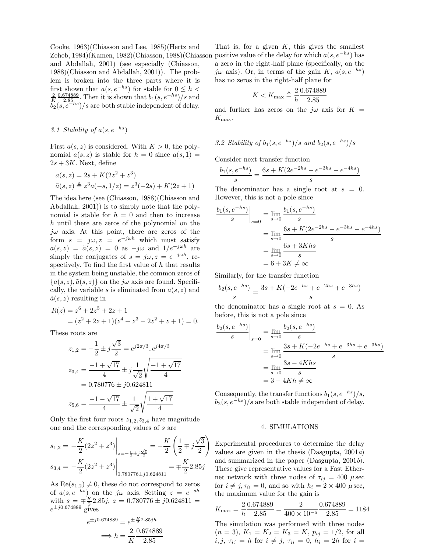Cooke,  $1963$ )(Chiasson and Lee,  $1985$ )(Hertz and Zeheb,  $1984$ )(Kamen,  $1982$ )(Chiasson,  $1988$ )(Chiasson and Abdallah, 2001) (see especially (Chiasson, 1988)(Chiasson and Abdallah, 2001)). The problem is broken into the three parts where it is first shown that  $a(s, e^{-hs})$  for stable for  $0 \leq h <$  $\frac{2}{K}\frac{0.674889}{2.85}$ . Then it is shown that  $b_1(s, e^{-hs})/s$  and  $b_2(s, e^{-hs})/s$  are both stable independent of delay.

# 3.1 Stability of  $a(s, e^{-hs})$

First  $a(s, z)$  is considered. With  $K > 0$ , the polynomial  $a(s, z)$  is stable for  $h = 0$  since  $a(s, 1) =$  $2s + 3K$ . Next, define

$$
a(s, z) = 2s + K(2z2 + z3)
$$
  
 
$$
\tilde{a}(s, z) \triangleq z3a(-s, 1/z) = z3(-2s) + K(2z + 1)
$$

The idea here (see (Chiasson, 1988) (Chiasson and Abdallah, 2001) is to simply note that the polynomial is stable for  $h = 0$  and then to increase  $h$  until there are zeros of the polynomial on the  $j\omega$  axis. At this point, there are zeros of the form  $s = j\omega, z = e^{-j\omega h}$  which must satisfy  $a(s, z) = \tilde{a}(s, z) = 0$  as  $-j\omega$  and  $1/e^{-j\omega h}$  are simply the conjugates of  $s = j\omega, z = e^{-j\omega h}$ , respectively. To find the first value of  $h$  that results in the system being unstable, the common zeros of  $\{a(s, z), \tilde{a}(s, z)\}\$  on the  $j\omega$  axis are found. Specifically, the variable s is eliminated from  $a(s, z)$  and  $\tilde{a}(s, z)$  resulting in

$$
R(z) = z6 + 2z5 + 2z + 1
$$
  
= (z<sup>2</sup> + 2z + 1)(z<sup>4</sup> + z<sup>3</sup> - 2z<sup>2</sup> + z + 1) = 0.

These roots are

$$
z_{1,2} = -\frac{1}{2} \pm j\frac{\sqrt{3}}{2} = e^{j2\pi/3}, e^{j4\pi/3}
$$

$$
z_{3,4} = \frac{-1 + \sqrt{17}}{4} \pm j\frac{1}{\sqrt{2}}\sqrt{\frac{-1 + \sqrt{17}}{4}}
$$

$$
= 0.780776 \pm j0.624811
$$

$$
z_{5,6} = \frac{-1 - \sqrt{17}}{4} \pm \frac{1}{\sqrt{2}}\sqrt{\frac{1 + \sqrt{17}}{4}}
$$

Only the first four roots  $z_{1,2}, z_{3,4}$  have magnitude one and the corresponding values of s are

$$
s_{1,2} = -\frac{K}{2}(2z^2 + z^3)\Big|_{z=-\frac{1}{2}\pm j\frac{\sqrt{3}}{2}} = -\frac{K}{2}\left(\frac{1}{2} \mp j\frac{\sqrt{3}}{2}\right)
$$
  

$$
s_{3,4} = -\frac{K}{2}(2z^2 + z^3)\Big|_{0.780776 \pm j0.624811} = \mp\frac{K}{2}2.85j
$$

As  $\text{Re}(s_{1,2}) \neq 0$ , these do not correspond to zeros of  $a(s, e^{-hs})$  on the jw axis. Setting  $z = e^{-sh}$ with  $s = \pm \frac{K}{2} 2.85j$ ,  $z = 0.780776 \pm j0.624811$  $e^{\pm j0.674889}$  gives

$$
e^{\pm j0.674889} = e^{\pm \frac{K}{2}2.85jh}
$$

$$
\implies h = \frac{2}{K} \frac{0.674889}{2.85}
$$

That is, for a given  $K$ , this gives the smallest positive value of the delay for which  $a(s, e^{-hs})$  has a zero in the right-half plane (specifically, on the  $j\omega$  axis). Or, in terms of the gain K,  $a(s, e^{-hs})$ has no zeros in the right-half plane for

$$
K < K_{\text{max}} \triangleq \frac{2}{h} \frac{0.674889}{2.85}
$$

and further has zeros on the  $j\omega$  axis for  $K =$  $K_{\text{max}}$ .

3.2 Stability of 
$$
b_1(s, e^{-hs})/s
$$
 and  $b_2(s, e^{-hs})/s$ 

Consider next transfer function

$$
\frac{b_1(s, e^{-hs})}{s} = \frac{6s + K(2e^{-2hs} - e^{-3hs} - e^{-4hs})}{s}
$$

The denominator has a single root at  $s = 0$ . However, this is not a pole since

$$
\frac{b_1(s, e^{-hs})}{s}\Big|_{s=0} = \lim_{s \to 0} \frac{b_1(s, e^{-hs})}{s}
$$

$$
= \lim_{s \to 0} \frac{6s + K(2e^{-2hs} - e^{-3hs} - e^{-4hs})}{s}
$$

$$
= \lim_{s \to 0} \frac{6s + 3Khs}{s}
$$

$$
= 6 + 3K \neq \infty
$$

Similarly, for the transfer function

$$
\frac{b_2(s, e^{-hs})}{s} = \frac{3s + K(-2e^{-hs} + e^{-2hs} + e^{-3hs})}{s}
$$

the denominator has a single root at  $s = 0$ . As before, this is not a pole since

$$
\frac{b_2(s, e^{-hs})}{s}\Big|_{s=0} = \lim_{s \to 0} \frac{b_2(s, e^{-hs})}{s}
$$

$$
= \lim_{s \to 0} \frac{3s + K(-2e^{-hs} + e^{-3hs} + e^{-3hs})}{s}
$$

$$
= \lim_{s \to 0} \frac{3s - 4Khs}{s}
$$

$$
= 3 - 4Kh \neq \infty
$$

Consequently, the transfer functions  $b_1(s, e^{-hs})/s$ ,  $b_2(s, e^{-hs})/s$  are both stable independent of delay.

### 4. SIMULATIONS

Experimental procedures to determine the delay values are given in the thesis (Dasgupta,  $2001a$ ) and summarized in the paper (Dasgupta,  $2001b$ ). These give representative values for a Fast Ethernet network with three nodes of  $\tau_{ij} = 400 \mu \sec$ for  $i \neq j$ ,  $\tau_{ii} = 0$ , and so with  $h_i = 2 \times 400 \mu$  sec, the maximum value for the gain is

$$
K_{\text{max}} = \frac{2}{h} \frac{0.674889}{2.85} = \frac{2}{400 \times 10^{-6}} \frac{0.674889}{2.85} = 1184
$$

The simulation was performed with three nodes  $(n = 3)$ ,  $K_1 = K_2 = K_3 = K$ ,  $p_{ij} = 1/2$ , for all  $i, j, \tau_{ii} = h$  for  $i \neq j, \tau_{ii} = 0, h_i = 2h$  for  $i =$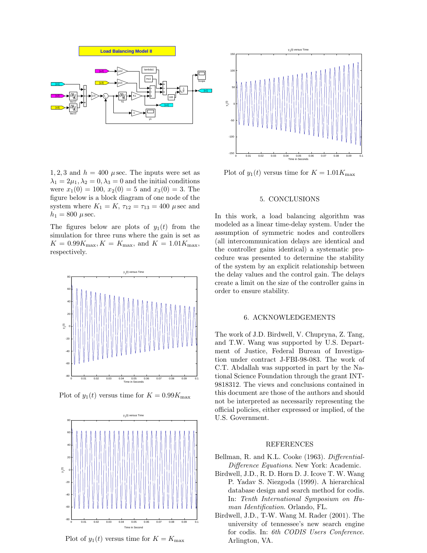



1, 2, 3 and  $h = 400 \mu \text{sec}$ . The inputs were set as  $\lambda_1 = 2\mu_1, \lambda_2 = 0, \lambda_3 = 0$  and the initial conditions were  $x_1(0) = 100$ ,  $x_2(0) = 5$  and  $x_3(0) = 3$ . The figure below is a block diagram of one node of the system where  $K_1 = K$ ,  $\tau_{12} = \tau_{13} = 400 \mu \text{ sec}$  and  $h_1 = 800 \ \mu \sec.$ 

The figures below are plots of  $y_1(t)$  from the simulation for three runs where the gain is set as  $K = 0.99K_{\text{max}}$ ,  $K = K_{\text{max}}$ , and  $K = 1.01K_{\text{max}}$ , respectively.



Plot of  $y_1(t)$  versus time for  $K = 0.99K_{\text{max}}$ 



Plot of  $y_1(t)$  versus time for  $K = K_{\text{max}}$ 



Plot of  $y_1(t)$  versus time for  $K = 1.01 K_{\text{max}}$ 

# 5. CONCLUSIONS

In this work, a load balancing algorithm was modeled as a linear time-delay system. Under the assumption of symmetric nodes and controllers (all intercommunication delays are identical and the controller gains identical) a systematic procedure was presented to determine the stability of the system by an explicit relationship between the delay values and the control gain. The delays create a limit on the size of the controller gains in order to ensure stability.

### 6. ACKNOWLEDGEMENTS

The work of J.D. Birdwell, V. Chupryna, Z. Tang, and T.W. Wang was supported by U.S. Department of Justice, Federal Bureau of Investigation under contract J-FBI-98-083. The work of C.T. Abdallah was supported in part by the National Science Foundation through the grant INT-9818312. The views and conclusions contained in this document are those of the authors and should not be interpreted as necessarily representing the official policies, either expressed or implied, of the U.S. Government.

#### **REFERENCES**

- Bellman, R. and K.L. Cooke (1963). Differential-Difference Equations. New York: Academic.
- Birdwell, J.D., R. D. Horn D. J. Icove T. W. Wang P. Yadav S. Niezgoda (1999). A hierarchical database design and search method for codis. In: Tenth International Symposium on Human Identification. Orlando, FL.
- Birdwell, J.D., T-W. Wang M. Rader (2001). The university of tennessee's new search engine for codis. In: 6th CODIS Users Conference. Arlington, VA.